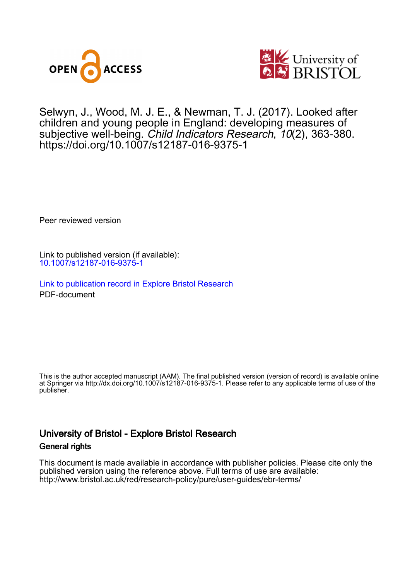



Selwyn, J., Wood, M. J. E., & Newman, T. J. (2017). Looked after children and young people in England: developing measures of subjective well-being. *Child Indicators Research, 10*(2), 363-380. <https://doi.org/10.1007/s12187-016-9375-1>

Peer reviewed version

Link to published version (if available): [10.1007/s12187-016-9375-1](https://doi.org/10.1007/s12187-016-9375-1)

[Link to publication record in Explore Bristol Research](https://research-information.bris.ac.uk/en/publications/64b5c138-1e54-4833-af12-1c5ddbcf33d4) PDF-document

This is the author accepted manuscript (AAM). The final published version (version of record) is available online at Springer via http://dx.doi.org/10.1007/s12187-016-9375-1. Please refer to any applicable terms of use of the publisher.

# University of Bristol - Explore Bristol Research General rights

This document is made available in accordance with publisher policies. Please cite only the published version using the reference above. Full terms of use are available: http://www.bristol.ac.uk/red/research-policy/pure/user-guides/ebr-terms/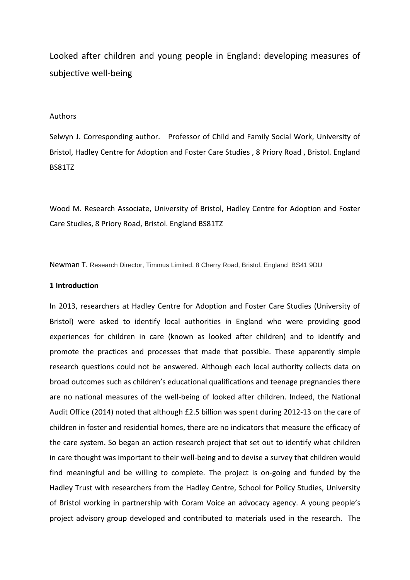Looked after children and young people in England: developing measures of subjective well-being

# Authors

Selwyn J. Corresponding author. Professor of Child and Family Social Work, University of Bristol, Hadley Centre for Adoption and Foster Care Studies , 8 Priory Road , Bristol. England BS81TZ

Wood M. Research Associate, University of Bristol, Hadley Centre for Adoption and Foster Care Studies, 8 Priory Road, Bristol. England BS81TZ

Newman T. Research Director, Timmus Limited, 8 Cherry Road, Bristol, England BS41 9DU

# **1 Introduction**

In 2013, researchers at Hadley Centre for Adoption and Foster Care Studies (University of Bristol) were asked to identify local authorities in England who were providing good experiences for children in care (known as looked after children) and to identify and promote the practices and processes that made that possible. These apparently simple research questions could not be answered. Although each local authority collects data on broad outcomes such as children's educational qualifications and teenage pregnancies there are no national measures of the well-being of looked after children. Indeed, the National Audit Office (2014) noted that although £2.5 billion was spent during 2012-13 on the care of children in foster and residential homes, there are no indicators that measure the efficacy of the care system. So began an action research project that set out to identify what children in care thought was important to their well-being and to devise a survey that children would find meaningful and be willing to complete. The project is on-going and funded by the Hadley Trust with researchers from the Hadley Centre, School for Policy Studies, University of Bristol working in partnership with Coram Voice an advocacy agency. A young people's project advisory group developed and contributed to materials used in the research. The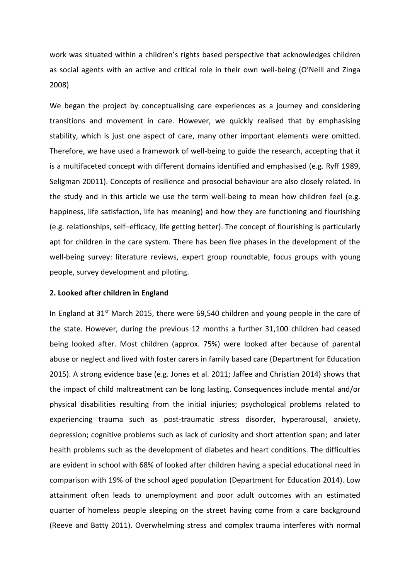work was situated within a children's rights based perspective that acknowledges children as social agents with an active and critical role in their own well-being (O'Neill and Zinga 2008)

We began the project by conceptualising care experiences as a journey and considering transitions and movement in care. However, we quickly realised that by emphasising stability, which is just one aspect of care, many other important elements were omitted. Therefore, we have used a framework of well-being to guide the research, accepting that it is a multifaceted concept with different domains identified and emphasised (e.g. Ryff 1989, Seligman 20011). Concepts of resilience and prosocial behaviour are also closely related. In the study and in this article we use the term well-being to mean how children feel (e.g. happiness, life satisfaction, life has meaning) and how they are functioning and flourishing (e.g. relationships, self–efficacy, life getting better). The concept of flourishing is particularly apt for children in the care system. There has been five phases in the development of the well-being survey: literature reviews, expert group roundtable, focus groups with young people, survey development and piloting.

#### **2. Looked after children in England**

In England at  $31<sup>st</sup>$  March 2015, there were 69,540 children and young people in the care of the state. However, during the previous 12 months a further 31,100 children had ceased being looked after. Most children (approx. 75%) were looked after because of parental abuse or neglect and lived with foster carers in family based care (Department for Education 2015). A strong evidence base (e.g. Jones et al. 2011; Jaffee and Christian 2014) shows that the impact of child maltreatment can be long lasting. Consequences include mental and/or physical disabilities resulting from the initial injuries; psychological problems related to experiencing trauma such as post-traumatic stress disorder, hyperarousal, anxiety, depression; cognitive problems such as lack of curiosity and short attention span; and later health problems such as the development of diabetes and heart conditions. The difficulties are evident in school with 68% of looked after children having a special educational need in comparison with 19% of the school aged population (Department for Education 2014). Low attainment often leads to unemployment and poor adult outcomes with an estimated quarter of homeless people sleeping on the street having come from a care background (Reeve and Batty 2011). Overwhelming stress and complex trauma interferes with normal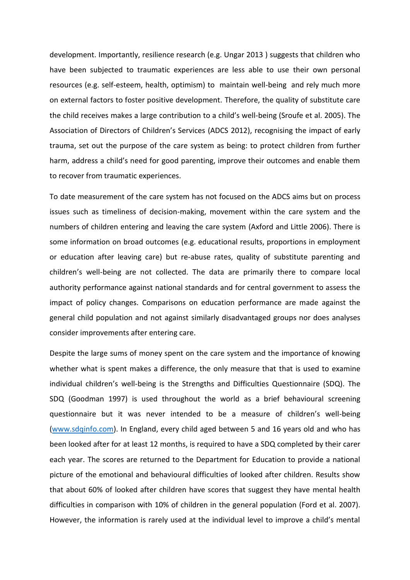development. Importantly, resilience research (e.g. Ungar 2013 ) suggests that children who have been subjected to traumatic experiences are less able to use their own personal resources (e.g. self-esteem, health, optimism) to maintain well-being and rely much more on external factors to foster positive development. Therefore, the quality of substitute care the child receives makes a large contribution to a child's well-being (Sroufe et al. 2005). The Association of Directors of Children's Services (ADCS 2012), recognising the impact of early trauma, set out the purpose of the care system as being: to protect children from further harm, address a child's need for good parenting, improve their outcomes and enable them to recover from traumatic experiences.

To date measurement of the care system has not focused on the ADCS aims but on process issues such as timeliness of decision-making, movement within the care system and the numbers of children entering and leaving the care system (Axford and Little 2006). There is some information on broad outcomes (e.g. educational results, proportions in employment or education after leaving care) but re-abuse rates, quality of substitute parenting and children's well-being are not collected. The data are primarily there to compare local authority performance against national standards and for central government to assess the impact of policy changes. Comparisons on education performance are made against the general child population and not against similarly disadvantaged groups nor does analyses consider improvements after entering care.

Despite the large sums of money spent on the care system and the importance of knowing whether what is spent makes a difference, the only measure that that is used to examine individual children's well-being is the Strengths and Difficulties Questionnaire (SDQ). The SDQ (Goodman 1997) is used throughout the world as a brief behavioural screening questionnaire but it was never intended to be a measure of children's well-being [\(www.sdqinfo.com\)](http://www.sdqinfo.com/). In England, every child aged between 5 and 16 years old and who has been looked after for at least 12 months, is required to have a SDQ completed by their carer each year. The scores are returned to the Department for Education to provide a national picture of the emotional and behavioural difficulties of looked after children. Results show that about 60% of looked after children have scores that suggest they have mental health difficulties in comparison with 10% of children in the general population (Ford et al. 2007). However, the information is rarely used at the individual level to improve a child's mental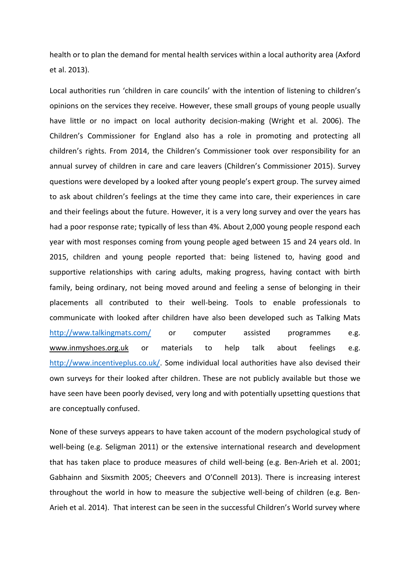health or to plan the demand for mental health services within a local authority area (Axford et al. 2013).

Local authorities run 'children in care councils' with the intention of listening to children's opinions on the services they receive. However, these small groups of young people usually have little or no impact on local authority decision-making (Wright et al. 2006). The Children's Commissioner for England also has a role in promoting and protecting all children's rights. From 2014, the Children's Commissioner took over responsibility for an annual survey of children in care and care leavers (Children's Commissioner 2015). Survey questions were developed by a looked after young people's expert group. The survey aimed to ask about children's feelings at the time they came into care, their experiences in care and their feelings about the future. However, it is a very long survey and over the years has had a poor response rate; typically of less than 4%. About 2,000 young people respond each year with most responses coming from young people aged between 15 and 24 years old. In 2015, children and young people reported that: being listened to, having good and supportive relationships with caring adults, making progress, having contact with birth family, being ordinary, not being moved around and feeling a sense of belonging in their placements all contributed to their well-being. Tools to enable professionals to communicate with looked after children have also been developed such as Talking Mats <http://www.talkingmats.com/> or computer assisted programmes e.g. [www.inmyshoes.org.uk](http://www.inmyshoes.org.uk/) or materials to help talk about feelings e.g. [http://www.incentiveplus.co.uk/.](http://www.incentiveplus.co.uk/) Some individual local authorities have also devised their own surveys for their looked after children. These are not publicly available but those we have seen have been poorly devised, very long and with potentially upsetting questions that are conceptually confused.

None of these surveys appears to have taken account of the modern psychological study of well-being (e.g. Seligman 2011) or the extensive international research and development that has taken place to produce measures of child well-being (e.g. Ben-Arieh et al. 2001; Gabhainn and Sixsmith 2005; Cheevers and O'Connell 2013). There is increasing interest throughout the world in how to measure the subjective well-being of children (e.g. Ben-Arieh et al. 2014). That interest can be seen in the successful Children's World survey where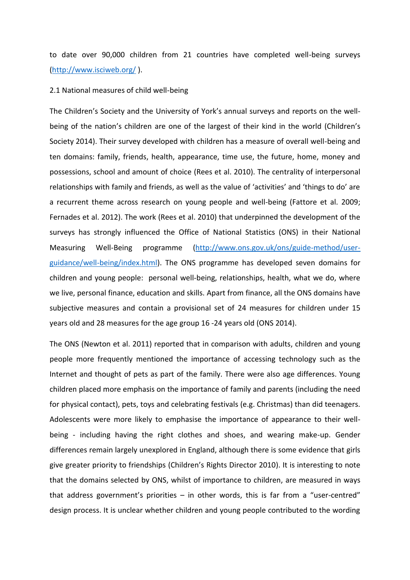to date over 90,000 children from 21 countries have completed well-being surveys [\(http://www.isciweb.org/](http://www.isciweb.org/) ).

#### 2.1 National measures of child well-being

The Children's Society and the University of York's annual surveys and reports on the wellbeing of the nation's children are one of the largest of their kind in the world (Children's Society 2014). Their survey developed with children has a measure of overall well-being and ten domains: family, friends, health, appearance, time use, the future, home, money and possessions, school and amount of choice (Rees et al. 2010). The centrality of interpersonal relationships with family and friends, as well as the value of 'activities' and 'things to do' are a recurrent theme across research on young people and well-being (Fattore et al. 2009; Fernades et al. 2012). The work (Rees et al. 2010) that underpinned the development of the surveys has strongly influenced the Office of National Statistics (ONS) in their National Measuring Well-Being programme [\(http://www.ons.gov.uk/ons/guide-method/user](http://www.ons.gov.uk/ons/guide-method/user-guidance/well-being/index.html)[guidance/well-being/index.html\)](http://www.ons.gov.uk/ons/guide-method/user-guidance/well-being/index.html). The ONS programme has developed seven domains for children and young people: personal well-being, relationships, health, what we do, where we live, personal finance, education and skills. Apart from finance, all the ONS domains have subjective measures and contain a provisional set of 24 measures for children under 15 years old and 28 measures for the age group 16 -24 years old (ONS 2014).

The ONS (Newton et al. 2011) reported that in comparison with adults, children and young people more frequently mentioned the importance of accessing technology such as the Internet and thought of pets as part of the family. There were also age differences. Young children placed more emphasis on the importance of family and parents (including the need for physical contact), pets, toys and celebrating festivals (e.g. Christmas) than did teenagers. Adolescents were more likely to emphasise the importance of appearance to their wellbeing - including having the right clothes and shoes, and wearing make-up. Gender differences remain largely unexplored in England, although there is some evidence that girls give greater priority to friendships (Children's Rights Director 2010). It is interesting to note that the domains selected by ONS, whilst of importance to children, are measured in ways that address government's priorities – in other words, this is far from a "user-centred" design process. It is unclear whether children and young people contributed to the wording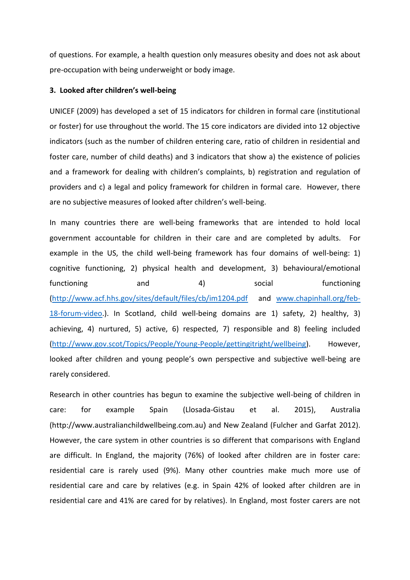of questions. For example, a health question only measures obesity and does not ask about pre-occupation with being underweight or body image.

# **3. Looked after children's well-being**

UNICEF (2009) has developed a set of 15 indicators for children in formal care (institutional or foster) for use throughout the world. The 15 core indicators are divided into 12 objective indicators (such as the number of children entering care, ratio of children in residential and foster care, number of child deaths) and 3 indicators that show a) the existence of policies and a framework for dealing with children's complaints, b) registration and regulation of providers and c) a legal and policy framework for children in formal care. However, there are no subjective measures of looked after children's well-being.

In many countries there are well-being frameworks that are intended to hold local government accountable for children in their care and are completed by adults. For example in the US, the child well-being framework has four domains of well-being: 1) cognitive functioning, 2) physical health and development, 3) behavioural/emotional functioning and 4) social functioning [\(http://www.acf.hhs.gov/sites/default/files/cb/im1204.pdf](http://www.acf.hhs.gov/sites/default/files/cb/im1204.pdf) and [www.chapinhall.org/feb-](http://www.chapinhall.org/feb-18-forum-video)[18-forum-video.](http://www.chapinhall.org/feb-18-forum-video)). In Scotland, child well-being domains are 1) safety, 2) healthy, 3) achieving, 4) nurtured, 5) active, 6) respected, 7) responsible and 8) feeling included [\(http://www.gov.scot/Topics/People/Young-People/gettingitright/wellbeing\)](http://www.gov.scot/Topics/People/Young-People/gettingitright/wellbeing). However, looked after children and young people's own perspective and subjective well-being are rarely considered.

Research in other countries has begun to examine the subjective well-being of children in care: for example Spain (Llosada-Gistau et al. 2015), Australia (http://www.australianchildwellbeing.com.au) and New Zealand (Fulcher and Garfat 2012). However, the care system in other countries is so different that comparisons with England are difficult. In England, the majority (76%) of looked after children are in foster care: residential care is rarely used (9%). Many other countries make much more use of residential care and care by relatives (e.g. in Spain 42% of looked after children are in residential care and 41% are cared for by relatives). In England, most foster carers are not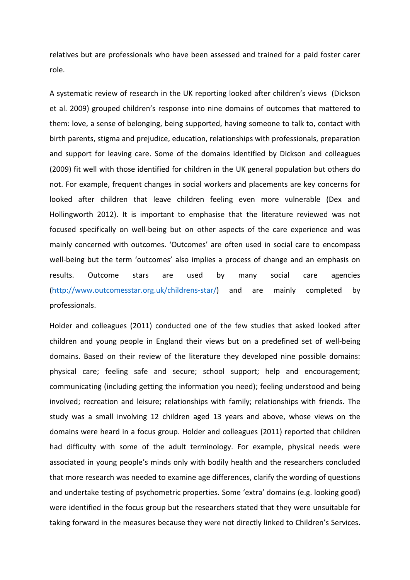relatives but are professionals who have been assessed and trained for a paid foster carer role.

A systematic review of research in the UK reporting looked after children's views (Dickson et al. 2009) grouped children's response into nine domains of outcomes that mattered to them: love, a sense of belonging, being supported, having someone to talk to, contact with birth parents, stigma and prejudice, education, relationships with professionals, preparation and support for leaving care. Some of the domains identified by Dickson and colleagues (2009) fit well with those identified for children in the UK general population but others do not. For example, frequent changes in social workers and placements are key concerns for looked after children that leave children feeling even more vulnerable (Dex and Hollingworth 2012). It is important to emphasise that the literature reviewed was not focused specifically on well-being but on other aspects of the care experience and was mainly concerned with outcomes. 'Outcomes' are often used in social care to encompass well-being but the term 'outcomes' also implies a process of change and an emphasis on results. Outcome stars are used by many social care agencies [\(http://www.outcomesstar.org.uk/childrens-star/\)](http://www.outcomesstar.org.uk/childrens-star/) and are mainly completed by professionals.

Holder and colleagues (2011) conducted one of the few studies that asked looked after children and young people in England their views but on a predefined set of well-being domains. Based on their review of the literature they developed nine possible domains: physical care; feeling safe and secure; school support; help and encouragement; communicating (including getting the information you need); feeling understood and being involved; recreation and leisure; relationships with family; relationships with friends. The study was a small involving 12 children aged 13 years and above, whose views on the domains were heard in a focus group. Holder and colleagues (2011) reported that children had difficulty with some of the adult terminology. For example, physical needs were associated in young people's minds only with bodily health and the researchers concluded that more research was needed to examine age differences, clarify the wording of questions and undertake testing of psychometric properties. Some 'extra' domains (e.g. looking good) were identified in the focus group but the researchers stated that they were unsuitable for taking forward in the measures because they were not directly linked to Children's Services.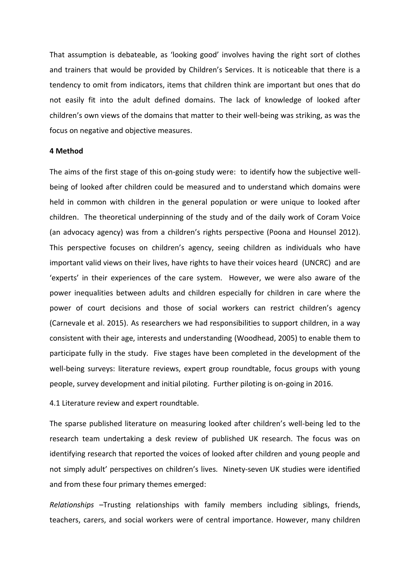That assumption is debateable, as 'looking good' involves having the right sort of clothes and trainers that would be provided by Children's Services. It is noticeable that there is a tendency to omit from indicators, items that children think are important but ones that do not easily fit into the adult defined domains. The lack of knowledge of looked after children's own views of the domains that matter to their well-being was striking, as was the focus on negative and objective measures.

# **4 Method**

The aims of the first stage of this on-going study were: to identify how the subjective wellbeing of looked after children could be measured and to understand which domains were held in common with children in the general population or were unique to looked after children. The theoretical underpinning of the study and of the daily work of Coram Voice (an advocacy agency) was from a children's rights perspective (Poona and Hounsel 2012). This perspective focuses on children's agency, seeing children as individuals who have important valid views on their lives, have rights to have their voices heard (UNCRC) and are 'experts' in their experiences of the care system. However, we were also aware of the power inequalities between adults and children especially for children in care where the power of court decisions and those of social workers can restrict children's agency (Carnevale et al. 2015). As researchers we had responsibilities to support children, in a way consistent with their age, interests and understanding (Woodhead, 2005) to enable them to participate fully in the study. Five stages have been completed in the development of the well-being surveys: literature reviews, expert group roundtable, focus groups with young people, survey development and initial piloting. Further piloting is on-going in 2016.

4.1 Literature review and expert roundtable.

The sparse published literature on measuring looked after children's well-being led to the research team undertaking a desk review of published UK research. The focus was on identifying research that reported the voices of looked after children and young people and not simply adult' perspectives on children's lives. Ninety-seven UK studies were identified and from these four primary themes emerged:

*Relationships* –Trusting relationships with family members including siblings, friends, teachers, carers, and social workers were of central importance. However, many children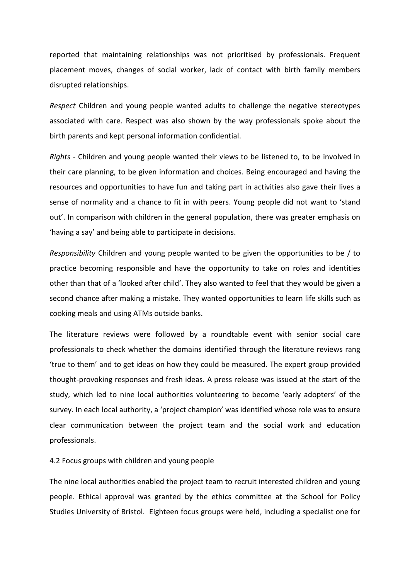reported that maintaining relationships was not prioritised by professionals. Frequent placement moves, changes of social worker, lack of contact with birth family members disrupted relationships.

*Respect* Children and young people wanted adults to challenge the negative stereotypes associated with care. Respect was also shown by the way professionals spoke about the birth parents and kept personal information confidential.

*Rights* - Children and young people wanted their views to be listened to, to be involved in their care planning, to be given information and choices. Being encouraged and having the resources and opportunities to have fun and taking part in activities also gave their lives a sense of normality and a chance to fit in with peers. Young people did not want to 'stand out'. In comparison with children in the general population, there was greater emphasis on 'having a say' and being able to participate in decisions.

*Responsibility* Children and young people wanted to be given the opportunities to be / to practice becoming responsible and have the opportunity to take on roles and identities other than that of a 'looked after child'. They also wanted to feel that they would be given a second chance after making a mistake. They wanted opportunities to learn life skills such as cooking meals and using ATMs outside banks.

The literature reviews were followed by a roundtable event with senior social care professionals to check whether the domains identified through the literature reviews rang 'true to them' and to get ideas on how they could be measured. The expert group provided thought-provoking responses and fresh ideas. A press release was issued at the start of the study, which led to nine local authorities volunteering to become 'early adopters' of the survey. In each local authority, a 'project champion' was identified whose role was to ensure clear communication between the project team and the social work and education professionals.

# 4.2 Focus groups with children and young people

The nine local authorities enabled the project team to recruit interested children and young people. Ethical approval was granted by the ethics committee at the School for Policy Studies University of Bristol. Eighteen focus groups were held, including a specialist one for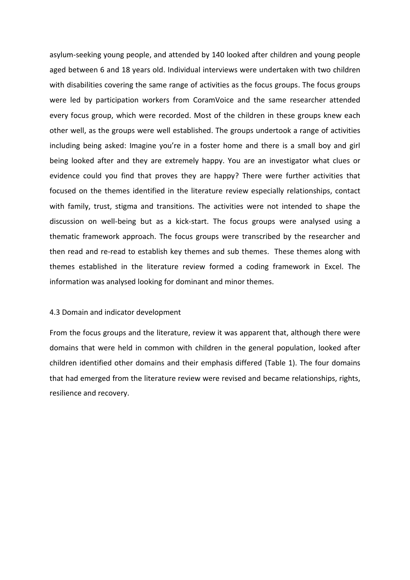asylum-seeking young people, and attended by 140 looked after children and young people aged between 6 and 18 years old. Individual interviews were undertaken with two children with disabilities covering the same range of activities as the focus groups. The focus groups were led by participation workers from CoramVoice and the same researcher attended every focus group, which were recorded. Most of the children in these groups knew each other well, as the groups were well established. The groups undertook a range of activities including being asked: Imagine you're in a foster home and there is a small boy and girl being looked after and they are extremely happy. You are an investigator what clues or evidence could you find that proves they are happy? There were further activities that focused on the themes identified in the literature review especially relationships, contact with family, trust, stigma and transitions. The activities were not intended to shape the discussion on well-being but as a kick-start. The focus groups were analysed using a thematic framework approach. The focus groups were transcribed by the researcher and then read and re-read to establish key themes and sub themes. These themes along with themes established in the literature review formed a coding framework in Excel. The information was analysed looking for dominant and minor themes.

# 4.3 Domain and indicator development

From the focus groups and the literature, review it was apparent that, although there were domains that were held in common with children in the general population, looked after children identified other domains and their emphasis differed (Table 1). The four domains that had emerged from the literature review were revised and became relationships, rights, resilience and recovery.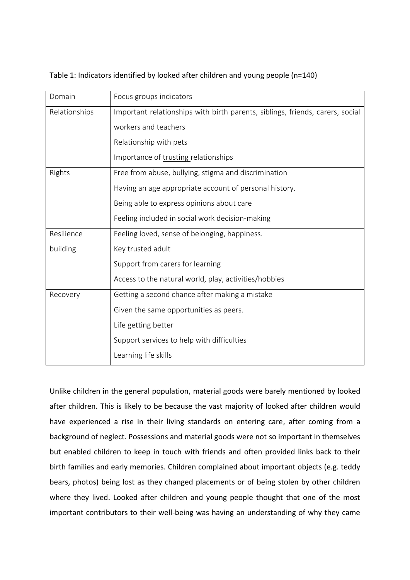| Domain        | Focus groups indicators                                                       |  |  |
|---------------|-------------------------------------------------------------------------------|--|--|
| Relationships | Important relationships with birth parents, siblings, friends, carers, social |  |  |
|               | workers and teachers                                                          |  |  |
|               | Relationship with pets                                                        |  |  |
|               | Importance of trusting relationships                                          |  |  |
| Rights        | Free from abuse, bullying, stigma and discrimination                          |  |  |
|               | Having an age appropriate account of personal history.                        |  |  |
|               | Being able to express opinions about care                                     |  |  |
|               | Feeling included in social work decision-making                               |  |  |
| Resilience    | Feeling loved, sense of belonging, happiness.                                 |  |  |
| building      | Key trusted adult                                                             |  |  |
|               | Support from carers for learning                                              |  |  |
|               | Access to the natural world, play, activities/hobbies                         |  |  |
| Recovery      | Getting a second chance after making a mistake                                |  |  |
|               | Given the same opportunities as peers.                                        |  |  |
|               | Life getting better                                                           |  |  |
|               | Support services to help with difficulties                                    |  |  |
|               | Learning life skills                                                          |  |  |

Table 1: Indicators identified by looked after children and young people (n=140)

Unlike children in the general population, material goods were barely mentioned by looked after children. This is likely to be because the vast majority of looked after children would have experienced a rise in their living standards on entering care, after coming from a background of neglect. Possessions and material goods were not so important in themselves but enabled children to keep in touch with friends and often provided links back to their birth families and early memories. Children complained about important objects (e.g. teddy bears, photos) being lost as they changed placements or of being stolen by other children where they lived. Looked after children and young people thought that one of the most important contributors to their well-being was having an understanding of why they came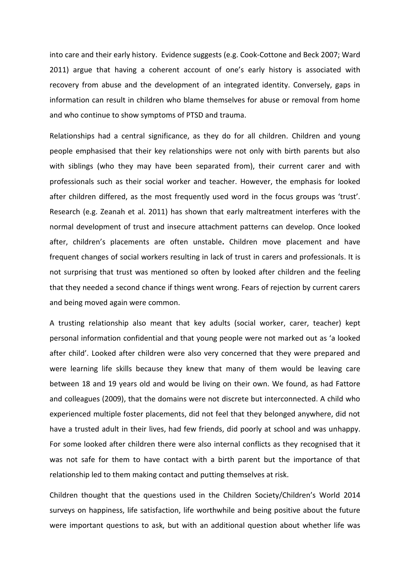into care and their early history. Evidence suggests (e.g. Cook‐Cottone and Beck 2007; Ward 2011) argue that having a coherent account of one's early history is associated with recovery from abuse and the development of an integrated identity. Conversely, gaps in information can result in children who blame themselves for abuse or removal from home and who continue to show symptoms of PTSD and trauma.

Relationships had a central significance, as they do for all children. Children and young people emphasised that their key relationships were not only with birth parents but also with siblings (who they may have been separated from), their current carer and with professionals such as their social worker and teacher. However, the emphasis for looked after children differed, as the most frequently used word in the focus groups was 'trust'. Research (e.g. Zeanah et al. 2011) has shown that early maltreatment interferes with the normal development of trust and insecure attachment patterns can develop. Once looked after, children's placements are often unstable**.** Children move placement and have frequent changes of social workers resulting in lack of trust in carers and professionals. It is not surprising that trust was mentioned so often by looked after children and the feeling that they needed a second chance if things went wrong. Fears of rejection by current carers and being moved again were common.

A trusting relationship also meant that key adults (social worker, carer, teacher) kept personal information confidential and that young people were not marked out as 'a looked after child'. Looked after children were also very concerned that they were prepared and were learning life skills because they knew that many of them would be leaving care between 18 and 19 years old and would be living on their own. We found, as had Fattore and colleagues (2009), that the domains were not discrete but interconnected. A child who experienced multiple foster placements, did not feel that they belonged anywhere, did not have a trusted adult in their lives, had few friends, did poorly at school and was unhappy. For some looked after children there were also internal conflicts as they recognised that it was not safe for them to have contact with a birth parent but the importance of that relationship led to them making contact and putting themselves at risk.

Children thought that the questions used in the Children Society/Children's World 2014 surveys on happiness, life satisfaction, life worthwhile and being positive about the future were important questions to ask, but with an additional question about whether life was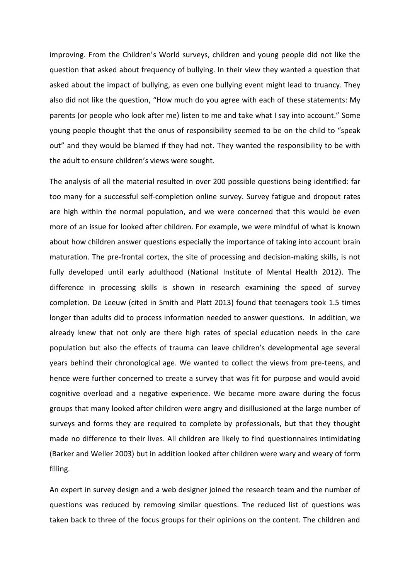improving. From the Children's World surveys, children and young people did not like the question that asked about frequency of bullying. In their view they wanted a question that asked about the impact of bullying, as even one bullying event might lead to truancy. They also did not like the question, "How much do you agree with each of these statements: My parents (or people who look after me) listen to me and take what I say into account." Some young people thought that the onus of responsibility seemed to be on the child to "speak out" and they would be blamed if they had not. They wanted the responsibility to be with the adult to ensure children's views were sought.

The analysis of all the material resulted in over 200 possible questions being identified: far too many for a successful self-completion online survey. Survey fatigue and dropout rates are high within the normal population, and we were concerned that this would be even more of an issue for looked after children. For example, we were mindful of what is known about how children answer questions especially the importance of taking into account brain maturation. The pre-frontal cortex, the site of processing and decision-making skills, is not fully developed until early adulthood (National Institute of Mental Health 2012). The difference in processing skills is shown in research examining the speed of survey completion. De Leeuw (cited in Smith and Platt 2013) found that teenagers took 1.5 times longer than adults did to process information needed to answer questions. In addition, we already knew that not only are there high rates of special education needs in the care population but also the effects of trauma can leave children's developmental age several years behind their chronological age. We wanted to collect the views from pre-teens, and hence were further concerned to create a survey that was fit for purpose and would avoid cognitive overload and a negative experience. We became more aware during the focus groups that many looked after children were angry and disillusioned at the large number of surveys and forms they are required to complete by professionals, but that they thought made no difference to their lives. All children are likely to find questionnaires intimidating (Barker and Weller 2003) but in addition looked after children were wary and weary of form filling.

An expert in survey design and a web designer joined the research team and the number of questions was reduced by removing similar questions. The reduced list of questions was taken back to three of the focus groups for their opinions on the content. The children and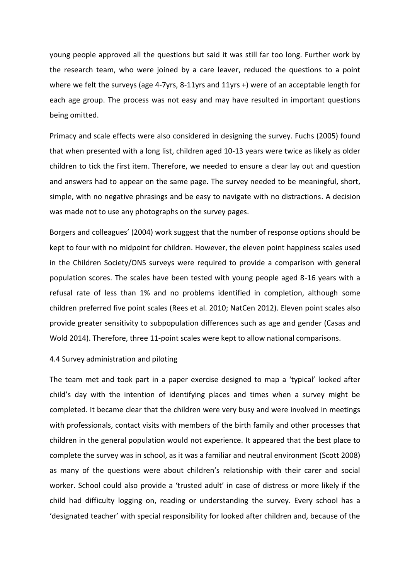young people approved all the questions but said it was still far too long. Further work by the research team, who were joined by a care leaver, reduced the questions to a point where we felt the surveys (age 4-7yrs, 8-11yrs and 11yrs +) were of an acceptable length for each age group. The process was not easy and may have resulted in important questions being omitted.

Primacy and scale effects were also considered in designing the survey. Fuchs (2005) found that when presented with a long list, children aged 10-13 years were twice as likely as older children to tick the first item. Therefore, we needed to ensure a clear lay out and question and answers had to appear on the same page. The survey needed to be meaningful, short, simple, with no negative phrasings and be easy to navigate with no distractions. A decision was made not to use any photographs on the survey pages.

Borgers and colleagues' (2004) work suggest that the number of response options should be kept to four with no midpoint for children. However, the eleven point happiness scales used in the Children Society/ONS surveys were required to provide a comparison with general population scores. The scales have been tested with young people aged 8-16 years with a refusal rate of less than 1% and no problems identified in completion, although some children preferred five point scales (Rees et al. 2010; NatCen 2012). Eleven point scales also provide greater sensitivity to subpopulation differences such as age and gender (Casas and Wold 2014). Therefore, three 11-point scales were kept to allow national comparisons.

#### 4.4 Survey administration and piloting

The team met and took part in a paper exercise designed to map a 'typical' looked after child's day with the intention of identifying places and times when a survey might be completed. It became clear that the children were very busy and were involved in meetings with professionals, contact visits with members of the birth family and other processes that children in the general population would not experience. It appeared that the best place to complete the survey was in school, as it was a familiar and neutral environment (Scott 2008) as many of the questions were about children's relationship with their carer and social worker. School could also provide a 'trusted adult' in case of distress or more likely if the child had difficulty logging on, reading or understanding the survey. Every school has a 'designated teacher' with special responsibility for looked after children and, because of the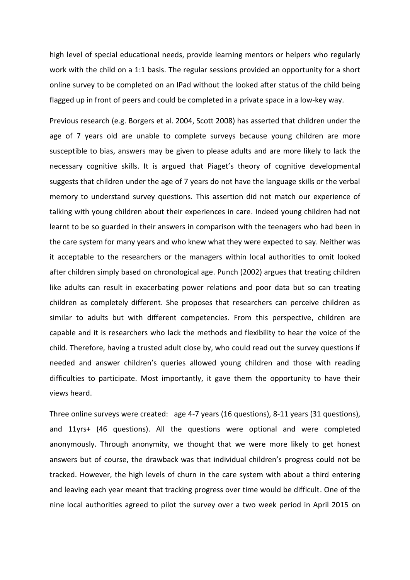high level of special educational needs, provide learning mentors or helpers who regularly work with the child on a 1:1 basis. The regular sessions provided an opportunity for a short online survey to be completed on an IPad without the looked after status of the child being flagged up in front of peers and could be completed in a private space in a low-key way.

Previous research (e.g. Borgers et al. 2004, Scott 2008) has asserted that children under the age of 7 years old are unable to complete surveys because young children are more susceptible to bias, answers may be given to please adults and are more likely to lack the necessary cognitive skills. It is argued that Piaget's theory of cognitive developmental suggests that children under the age of 7 years do not have the language skills or the verbal memory to understand survey questions. This assertion did not match our experience of talking with young children about their experiences in care. Indeed young children had not learnt to be so guarded in their answers in comparison with the teenagers who had been in the care system for many years and who knew what they were expected to say. Neither was it acceptable to the researchers or the managers within local authorities to omit looked after children simply based on chronological age. Punch (2002) argues that treating children like adults can result in exacerbating power relations and poor data but so can treating children as completely different. She proposes that researchers can perceive children as similar to adults but with different competencies. From this perspective, children are capable and it is researchers who lack the methods and flexibility to hear the voice of the child. Therefore, having a trusted adult close by, who could read out the survey questions if needed and answer children's queries allowed young children and those with reading difficulties to participate. Most importantly, it gave them the opportunity to have their views heard.

Three online surveys were created: age 4-7 years (16 questions), 8-11 years (31 questions), and 11yrs+ (46 questions). All the questions were optional and were completed anonymously. Through anonymity, we thought that we were more likely to get honest answers but of course, the drawback was that individual children's progress could not be tracked. However, the high levels of churn in the care system with about a third entering and leaving each year meant that tracking progress over time would be difficult. One of the nine local authorities agreed to pilot the survey over a two week period in April 2015 on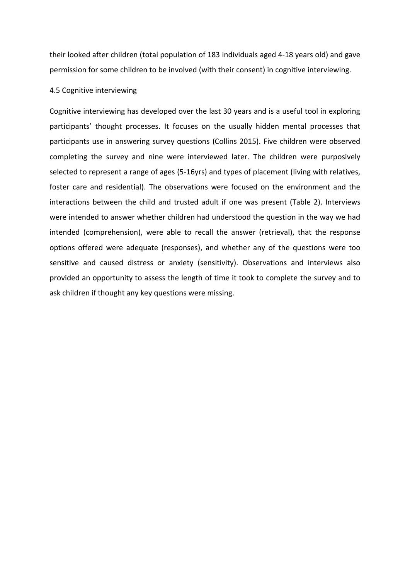their looked after children (total population of 183 individuals aged 4-18 years old) and gave permission for some children to be involved (with their consent) in cognitive interviewing.

#### 4.5 Cognitive interviewing

Cognitive interviewing has developed over the last 30 years and is a useful tool in exploring participants' thought processes. It focuses on the usually hidden mental processes that participants use in answering survey questions (Collins 2015). Five children were observed completing the survey and nine were interviewed later. The children were purposively selected to represent a range of ages (5-16yrs) and types of placement (living with relatives, foster care and residential). The observations were focused on the environment and the interactions between the child and trusted adult if one was present (Table 2). Interviews were intended to answer whether children had understood the question in the way we had intended (comprehension), were able to recall the answer (retrieval), that the response options offered were adequate (responses), and whether any of the questions were too sensitive and caused distress or anxiety (sensitivity). Observations and interviews also provided an opportunity to assess the length of time it took to complete the survey and to ask children if thought any key questions were missing.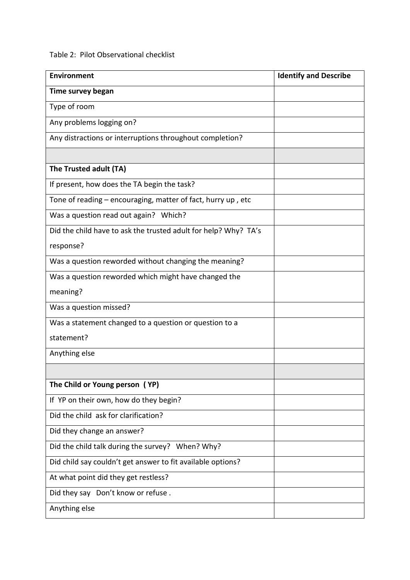# Table 2: Pilot Observational checklist

| <b>Environment</b>                                              | <b>Identify and Describe</b> |  |
|-----------------------------------------------------------------|------------------------------|--|
| <b>Time survey began</b>                                        |                              |  |
| Type of room                                                    |                              |  |
| Any problems logging on?                                        |                              |  |
| Any distractions or interruptions throughout completion?        |                              |  |
|                                                                 |                              |  |
| The Trusted adult (TA)                                          |                              |  |
| If present, how does the TA begin the task?                     |                              |  |
| Tone of reading – encouraging, matter of fact, hurry up, etc    |                              |  |
| Was a question read out again? Which?                           |                              |  |
| Did the child have to ask the trusted adult for help? Why? TA's |                              |  |
| response?                                                       |                              |  |
| Was a question reworded without changing the meaning?           |                              |  |
| Was a question reworded which might have changed the            |                              |  |
| meaning?                                                        |                              |  |
| Was a question missed?                                          |                              |  |
| Was a statement changed to a question or question to a          |                              |  |
| statement?                                                      |                              |  |
| Anything else                                                   |                              |  |
|                                                                 |                              |  |
| The Child or Young person (YP)                                  |                              |  |
| If YP on their own, how do they begin?                          |                              |  |
| Did the child ask for clarification?                            |                              |  |
| Did they change an answer?                                      |                              |  |
| Did the child talk during the survey? When? Why?                |                              |  |
| Did child say couldn't get answer to fit available options?     |                              |  |
| At what point did they get restless?                            |                              |  |
| Did they say Don't know or refuse.                              |                              |  |
| Anything else                                                   |                              |  |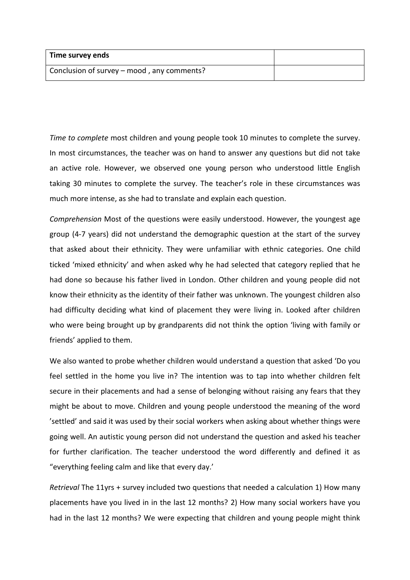| Time survey ends                           |  |
|--------------------------------------------|--|
| Conclusion of survey – mood, any comments? |  |

*Time to complete* most children and young people took 10 minutes to complete the survey. In most circumstances, the teacher was on hand to answer any questions but did not take an active role. However, we observed one young person who understood little English taking 30 minutes to complete the survey. The teacher's role in these circumstances was much more intense, as she had to translate and explain each question.

*Comprehension* Most of the questions were easily understood. However, the youngest age group (4-7 years) did not understand the demographic question at the start of the survey that asked about their ethnicity. They were unfamiliar with ethnic categories. One child ticked 'mixed ethnicity' and when asked why he had selected that category replied that he had done so because his father lived in London. Other children and young people did not know their ethnicity as the identity of their father was unknown. The youngest children also had difficulty deciding what kind of placement they were living in. Looked after children who were being brought up by grandparents did not think the option 'living with family or friends' applied to them.

We also wanted to probe whether children would understand a question that asked 'Do you feel settled in the home you live in? The intention was to tap into whether children felt secure in their placements and had a sense of belonging without raising any fears that they might be about to move. Children and young people understood the meaning of the word 'settled' and said it was used by their social workers when asking about whether things were going well. An autistic young person did not understand the question and asked his teacher for further clarification. The teacher understood the word differently and defined it as "everything feeling calm and like that every day.'

*Retrieval* The 11yrs + survey included two questions that needed a calculation 1) How many placements have you lived in in the last 12 months? 2) How many social workers have you had in the last 12 months? We were expecting that children and young people might think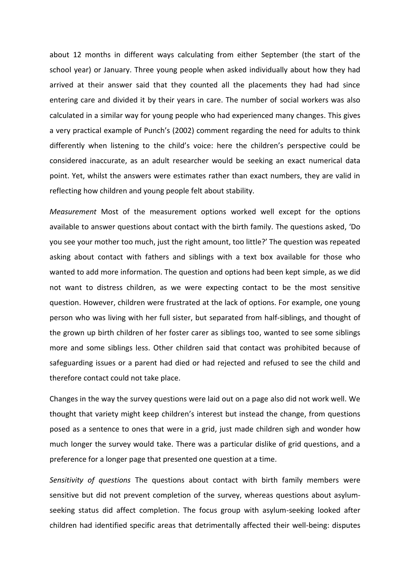about 12 months in different ways calculating from either September (the start of the school year) or January. Three young people when asked individually about how they had arrived at their answer said that they counted all the placements they had had since entering care and divided it by their years in care. The number of social workers was also calculated in a similar way for young people who had experienced many changes. This gives a very practical example of Punch's (2002) comment regarding the need for adults to think differently when listening to the child's voice: here the children's perspective could be considered inaccurate, as an adult researcher would be seeking an exact numerical data point. Yet, whilst the answers were estimates rather than exact numbers, they are valid in reflecting how children and young people felt about stability.

*Measurement* Most of the measurement options worked well except for the options available to answer questions about contact with the birth family. The questions asked, 'Do you see your mother too much, just the right amount, too little?' The question was repeated asking about contact with fathers and siblings with a text box available for those who wanted to add more information. The question and options had been kept simple, as we did not want to distress children, as we were expecting contact to be the most sensitive question. However, children were frustrated at the lack of options. For example, one young person who was living with her full sister, but separated from half-siblings, and thought of the grown up birth children of her foster carer as siblings too, wanted to see some siblings more and some siblings less. Other children said that contact was prohibited because of safeguarding issues or a parent had died or had rejected and refused to see the child and therefore contact could not take place.

Changes in the way the survey questions were laid out on a page also did not work well. We thought that variety might keep children's interest but instead the change, from questions posed as a sentence to ones that were in a grid, just made children sigh and wonder how much longer the survey would take. There was a particular dislike of grid questions, and a preference for a longer page that presented one question at a time.

*Sensitivity of questions* The questions about contact with birth family members were sensitive but did not prevent completion of the survey, whereas questions about asylumseeking status did affect completion. The focus group with asylum-seeking looked after children had identified specific areas that detrimentally affected their well-being: disputes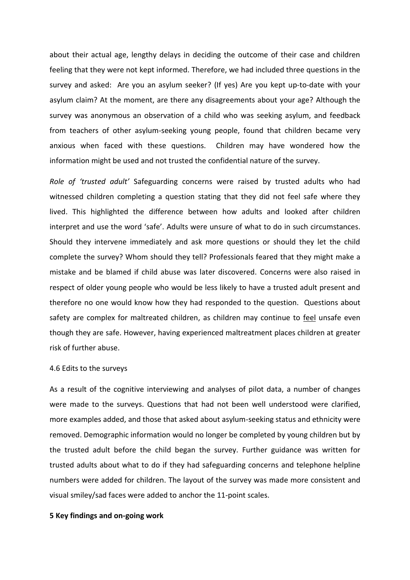about their actual age, lengthy delays in deciding the outcome of their case and children feeling that they were not kept informed. Therefore, we had included three questions in the survey and asked: Are you an asylum seeker? (If yes) Are you kept up-to-date with your asylum claim? At the moment, are there any disagreements about your age? Although the survey was anonymous an observation of a child who was seeking asylum, and feedback from teachers of other asylum-seeking young people, found that children became very anxious when faced with these questions. Children may have wondered how the information might be used and not trusted the confidential nature of the survey.

*Role of 'trusted adult'* Safeguarding concerns were raised by trusted adults who had witnessed children completing a question stating that they did not feel safe where they lived. This highlighted the difference between how adults and looked after children interpret and use the word 'safe'. Adults were unsure of what to do in such circumstances. Should they intervene immediately and ask more questions or should they let the child complete the survey? Whom should they tell? Professionals feared that they might make a mistake and be blamed if child abuse was later discovered. Concerns were also raised in respect of older young people who would be less likely to have a trusted adult present and therefore no one would know how they had responded to the question. Questions about safety are complex for maltreated children, as children may continue to feel unsafe even though they are safe. However, having experienced maltreatment places children at greater risk of further abuse.

#### 4.6 Edits to the surveys

As a result of the cognitive interviewing and analyses of pilot data, a number of changes were made to the surveys. Questions that had not been well understood were clarified, more examples added, and those that asked about asylum-seeking status and ethnicity were removed. Demographic information would no longer be completed by young children but by the trusted adult before the child began the survey. Further guidance was written for trusted adults about what to do if they had safeguarding concerns and telephone helpline numbers were added for children. The layout of the survey was made more consistent and visual smiley/sad faces were added to anchor the 11-point scales.

# **5 Key findings and on-going work**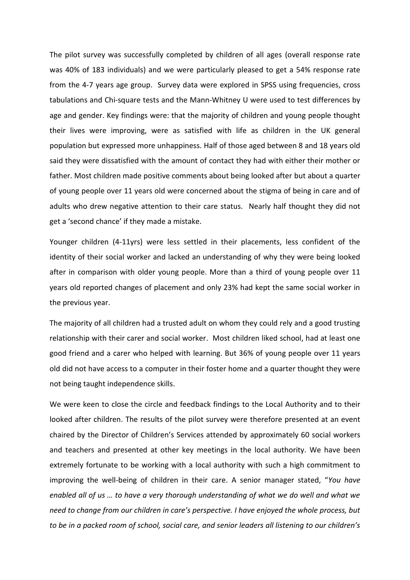The pilot survey was successfully completed by children of all ages (overall response rate was 40% of 183 individuals) and we were particularly pleased to get a 54% response rate from the 4-7 years age group. Survey data were explored in SPSS using frequencies, cross tabulations and Chi-square tests and the Mann-Whitney U were used to test differences by age and gender. Key findings were: that the majority of children and young people thought their lives were improving, were as satisfied with life as children in the UK general population but expressed more unhappiness. Half of those aged between 8 and 18 years old said they were dissatisfied with the amount of contact they had with either their mother or father. Most children made positive comments about being looked after but about a quarter of young people over 11 years old were concerned about the stigma of being in care and of adults who drew negative attention to their care status. Nearly half thought they did not get a 'second chance' if they made a mistake.

Younger children (4-11yrs) were less settled in their placements, less confident of the identity of their social worker and lacked an understanding of why they were being looked after in comparison with older young people. More than a third of young people over 11 years old reported changes of placement and only 23% had kept the same social worker in the previous year.

The majority of all children had a trusted adult on whom they could rely and a good trusting relationship with their carer and social worker. Most children liked school, had at least one good friend and a carer who helped with learning. But 36% of young people over 11 years old did not have access to a computer in their foster home and a quarter thought they were not being taught independence skills.

We were keen to close the circle and feedback findings to the Local Authority and to their looked after children. The results of the pilot survey were therefore presented at an event chaired by the Director of Children's Services attended by approximately 60 social workers and teachers and presented at other key meetings in the local authority. We have been extremely fortunate to be working with a local authority with such a high commitment to improving the well-being of children in their care. A senior manager stated, "*You have enabled all of us … to have a very thorough understanding of what we do well and what we need to change from our children in care's perspective. I have enjoyed the whole process, but to be in a packed room of school, social care, and senior leaders all listening to our children's*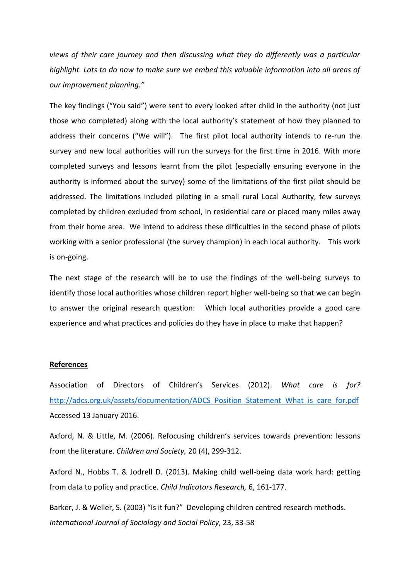*views of their care journey and then discussing what they do differently was a particular highlight. Lots to do now to make sure we embed this valuable information into all areas of our improvement planning."* 

The key findings ("You said") were sent to every looked after child in the authority (not just those who completed) along with the local authority's statement of how they planned to address their concerns ("We will"). The first pilot local authority intends to re-run the survey and new local authorities will run the surveys for the first time in 2016. With more completed surveys and lessons learnt from the pilot (especially ensuring everyone in the authority is informed about the survey) some of the limitations of the first pilot should be addressed. The limitations included piloting in a small rural Local Authority, few surveys completed by children excluded from school, in residential care or placed many miles away from their home area. We intend to address these difficulties in the second phase of pilots working with a senior professional (the survey champion) in each local authority. This work is on-going.

The next stage of the research will be to use the findings of the well-being surveys to identify those local authorities whose children report higher well-being so that we can begin to answer the original research question: Which local authorities provide a good care experience and what practices and policies do they have in place to make that happen?

#### **References**

Association of Directors of Children's Services (2012). *What care is for?*  [http://adcs.org.uk/assets/documentation/ADCS\\_Position\\_Statement\\_What\\_is\\_care\\_for.pdf](http://adcs.org.uk/assets/documentation/ADCS_Position_Statement_What_is_care_for.pdf) Accessed 13 January 2016.

Axford, N. & Little, M. (2006). Refocusing children's services towards prevention: lessons from the literature. *Children and Society,* 20 (4), 299-312.

Axford N., Hobbs T. & Jodrell D. (2013). Making child well-being data work hard: getting from data to policy and practice. *Child Indicators Research,* 6, 161-177.

Barker, J. & Weller, S. (2003) "Is it fun?" Developing children centred research methods. *International Journal of Sociology and Social Policy*, 23, 33-58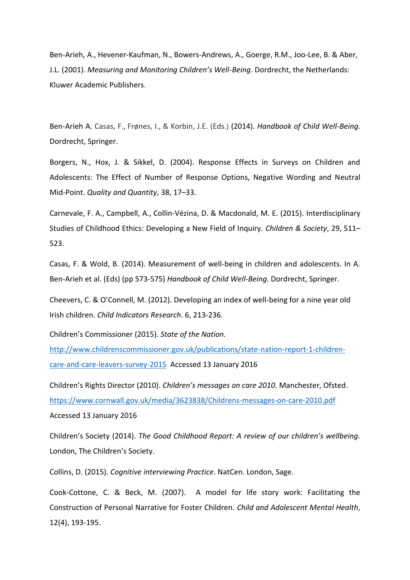Ben-Arieh, A., Hevener-Kaufman, N., Bowers-Andrews, A., Goerge, R.M., Joo-Lee, B. & Aber, J.L. (2001). *Measuring and Monitoring Children's Well-Being*. Dordrecht, the Netherlands: Kluwer Academic Publishers.

Ben-Arieh A. Casas, F., Frønes, I., & Korbin, J.E. (Eds.) (2014). *Handbook of Child Well-Being*. Dordrecht, Springer.

Borgers, N., Hox, J. & Sikkel, D. (2004). Response Effects in Surveys on Children and Adolescents: The Effect of Number of Response Options, Negative Wording and Neutral Mid-Point. *Quality and Quantity,* 38, 17–33.

Carnevale, F. A., Campbell, A., Collin-Vézina, D. & Macdonald, M. E. (2015). Interdisciplinary Studies of Childhood Ethics: Developing a New Field of Inquiry*. Children & Society*, 29, 511– 523.

Casas, F. & Wold, B. (2014). Measurement of well-being in children and adolescents. In A. Ben-Arieh et al. (Eds) (pp 573-575) *Handbook of Child Well-Being*. Dordrecht, Springer.

Cheevers, C. & O'Connell, M. (2012). Developing an index of well-being for a nine year old Irish children. *Child Indicators Research*. 6, 213-236.

Children's Commissioner (2015). *State of the Nation.*

[http://www.childrenscommissioner.gov.uk/publications/state-nation-report-1-children](http://www.childrenscommissioner.gov.uk/publications/state-nation-report-1-children-care-and-care-leavers-survey-2015)[care-and-care-leavers-survey-2015](http://www.childrenscommissioner.gov.uk/publications/state-nation-report-1-children-care-and-care-leavers-survey-2015) Accessed 13 January 2016

Children's Rights Director (2010). *Children's messages on care 2010.* Manchester, Ofsted. <https://www.cornwall.gov.uk/media/3623838/Childrens-messages-on-care-2010.pdf> Accessed 13 January 2016

Children's Society (2014). *The Good Childhood Report: A review of our children's wellbeing.* London, The Children's Society.

Collins, D. (2015). *Cognitive interviewing Practice*. NatCen. London, Sage.

Cook-Cottone, C. & Beck, M. (2007). A model for life story work: Facilitating the Construction of Personal Narrative for Foster Children. *Child and Adolescent Mental Health*, 12(4), 193-195.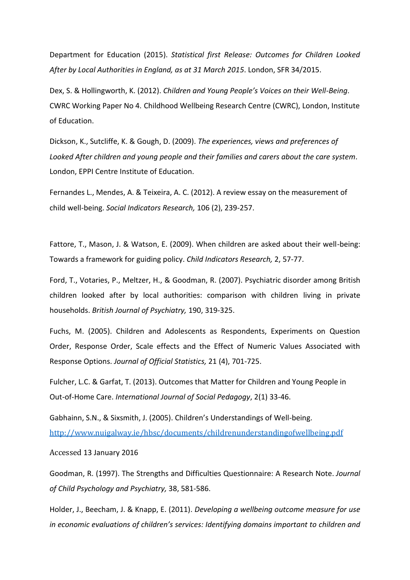Department for Education (2015). *Statistical first Release: Outcomes for Children Looked After by Local Authorities in England, as at 31 March 2015*. London, SFR 34/2015.

Dex, S. & Hollingworth, K. (2012). *Children and Young People's Voices on their Well-Being*. CWRC Working Paper No 4. Childhood Wellbeing Research Centre (CWRC), London, Institute of Education.

Dickson, K., Sutcliffe, K. & Gough, D. (2009). *The experiences, views and preferences of Looked After children and young people and their families and carers about the care system.* London, EPPI Centre Institute of Education.

Fernandes L., Mendes, A. & Teixeira, A. C. (2012). A review essay on the measurement of child well-being. *Social Indicators Research,* 106 (2), 239-257.

Fattore, T., Mason, J. & Watson, E. (2009). When children are asked about their well-being: Towards a framework for guiding policy. *Child Indicators Research,* 2, 57-77.

Ford, T., Votaries, P., Meltzer, H., & Goodman, R. (2007). Psychiatric disorder among British children looked after by local authorities: comparison with children living in private households. *British Journal of Psychiatry,* 190, 319-325.

Fuchs, M. (2005). Children and Adolescents as Respondents, Experiments on Question Order, Response Order, Scale effects and the Effect of Numeric Values Associated with Response Options. *Journal of Official Statistics,* 21 (4), 701-725.

Fulcher, L.C. & Garfat, T. (2013). Outcomes that Matter for Children and Young People in Out-of-Home Care. *International Journal of Social Pedagogy*, 2(1) 33-46.

Gabhainn, S.N., & Sixsmith, J. (2005). Children's Understandings of Well-being. <http://www.nuigalway.ie/hbsc/documents/childrenunderstandingofwellbeing.pdf>

Accessed 13 January 2016

Goodman, R. (1997). The Strengths and Difficulties Questionnaire: A Research Note. *Journal of Child Psychology and Psychiatry,* 38, 581-586.

Holder, J., Beecham, J. & Knapp, E. (2011). *Developing a wellbeing outcome measure for use in economic evaluations of children's services: Identifying domains important to children and*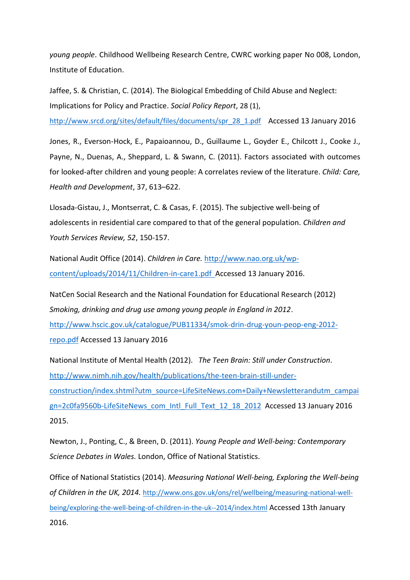*young people*. Childhood Wellbeing Research Centre, CWRC working paper No 008, London, Institute of Education.

Jaffee, S. & Christian, C. (2014). The Biological Embedding of Child Abuse and Neglect: Implications for Policy and Practice. *Social Policy Report*, 28 (1),

[http://www.srcd.org/sites/default/files/documents/spr\\_28\\_1.pdf](http://www.srcd.org/sites/default/files/documents/spr_28_1.pdf) Accessed 13 January 2016

Jones, R., Everson-Hock, E., Papaioannou, D., Guillaume L., Goyder E., Chilcott J., Cooke J., Payne, N., Duenas, A., Sheppard, L. & Swann, C. (2011). Factors associated with outcomes for looked-after children and young people: A correlates review of the literature. *Child: Care, Health and Development*, 37, 613–622.

Llosada-Gistau, J., Montserrat, C. & Casas, F. (2015). The subjective well-being of adolescents in residential care compared to that of the general population. *Children and Youth Services Review, 52*, 150-157.

National Audit Office (2014). *Children in Care.* [http://www.nao.org.uk/wp](http://www.nao.org.uk/wp-content/uploads/2014/11/Children-in-care1.pdf)[content/uploads/2014/11/Children-in-care1.pdf](http://www.nao.org.uk/wp-content/uploads/2014/11/Children-in-care1.pdf) Accessed 13 January 2016.

NatCen Social Research and the National Foundation for Educational Research (2012) *Smoking, drinking and drug use among young people in England in 2012*.

[http://www.hscic.gov.uk/catalogue/PUB11334/smok-drin-drug-youn-peop-eng-2012](http://www.hscic.gov.uk/catalogue/PUB11334/smok-drin-drug-youn-peop-eng-2012-repo.pdf) [repo.pdf](http://www.hscic.gov.uk/catalogue/PUB11334/smok-drin-drug-youn-peop-eng-2012-repo.pdf) Accessed 13 January 2016

National Institute of Mental Health (2012). *The Teen Brain: Still under Construction*. [http://www.nimh.nih.gov/health/publications/the-teen-brain-still-under](http://www.nimh.nih.gov/health/publications/the-teen-brain-still-under-construction/index.shtml?utm_source=LifeSiteNews.com+Daily+Newsletter&utm_campaign=2c0fa9560b-LifeSiteNews_com_Intl_Full_Text_12_18_2012)[construction/index.shtml?utm\\_source=LifeSiteNews.com+Daily+Newsletterandutm\\_campai](http://www.nimh.nih.gov/health/publications/the-teen-brain-still-under-construction/index.shtml?utm_source=LifeSiteNews.com+Daily+Newsletter&utm_campaign=2c0fa9560b-LifeSiteNews_com_Intl_Full_Text_12_18_2012) [gn=2c0fa9560b-LifeSiteNews\\_com\\_Intl\\_Full\\_Text\\_12\\_18\\_2012](http://www.nimh.nih.gov/health/publications/the-teen-brain-still-under-construction/index.shtml?utm_source=LifeSiteNews.com+Daily+Newsletter&utm_campaign=2c0fa9560b-LifeSiteNews_com_Intl_Full_Text_12_18_2012) Accessed 13 January 2016 2015.

Newton, J., Ponting, C., & Breen, D. (2011). *Young People and Well-being: Contemporary Science Debates in Wales.* London, Office of National Statistics.

Office of National Statistics (2014). *Measuring National Well-being, Exploring the Well-being of Children in the UK, 2014.* [http://www.ons.gov.uk/ons/rel/wellbeing/measuring-national-well](http://www.ons.gov.uk/ons/rel/wellbeing/measuring-national-well-being/exploring-the-well-being-of-children-in-the-uk--2014/index.html)[being/exploring-the-well-being-of-children-in-the-uk--2014/index.html](http://www.ons.gov.uk/ons/rel/wellbeing/measuring-national-well-being/exploring-the-well-being-of-children-in-the-uk--2014/index.html) Accessed 13th January 2016.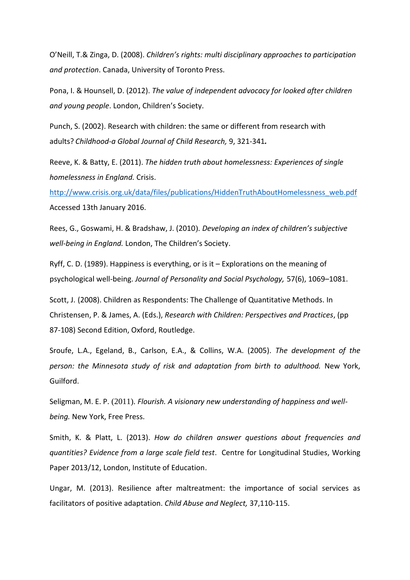O'Neill, T.& Zinga, D. (2008). *Children's rights: multi disciplinary approaches to participation and protection*. Canada, University of Toronto Press.

Pona, I. & Hounsell, D. (2012). *The value of independent advocacy for looked after children and young people*. London, Children's Society.

Punch, S. (2002). Research with children: the same or different from research with adults? *Childhood-a Global Journal of Child Research,* 9, 321-341*.*

Reeve, K. & Batty, E. (2011). *The hidden truth about homelessness: Experiences of single homelessness in England.* Crisis.

[http://www.crisis.org.uk/data/files/publications/HiddenTruthAboutHomelessness\\_web.pdf](http://www.crisis.org.uk/data/files/publications/HiddenTruthAboutHomelessness_web.pdf) Accessed 13th January 2016.

Rees, G., Goswami, H. & Bradshaw, J. (2010). *Developing an index of children's subjective well-being in England.* London, The Children's Society.

Ryff, C. D. (1989). Happiness is everything, or is it – Explorations on the meaning of psychological well-being. *Journal of Personality and Social Psychology,* 57(6), 1069–1081.

Scott, J. (2008). Children as Respondents: The Challenge of Quantitative Methods. In Christensen, P. & James, A. (Eds.), *Research with Children: Perspectives and Practices*, (pp 87-108) Second Edition, Oxford, Routledge.

Sroufe, L.A., Egeland, B., Carlson, E.A., & Collins, W.A. (2005). *The development of the person: the Minnesota study of risk and adaptation from birth to adulthood.* New York, Guilford.

Seligman, M. E. P. (2011). *Flourish. A visionary new understanding of happiness and wellbeing.* New York, Free Press.

Smith, K. & Platt, L. (2013). *How do children answer questions about frequencies and quantities? Evidence from a large scale field test*. Centre for Longitudinal Studies, Working Paper 2013/12, London, Institute of Education.

Ungar, M. (2013). Resilience after maltreatment: the importance of social services as facilitators of positive adaptation. *Child Abuse and Neglect,* 37,110-115.